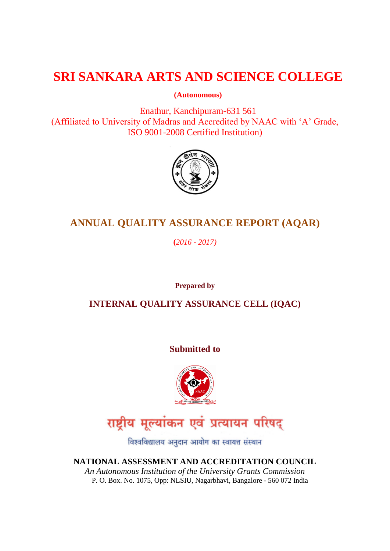# **SRI SANKARA ARTS AND SCIENCE COLLEGE**

**(Autonomous)**

Enathur, Kanchipuram-631 561 (Affiliated to University of Madras and Accredited by NAAC with "A" Grade, ISO 9001-2008 Certified Institution)



# **ANNUAL QUALITY ASSURANCE REPORT (AQAR)**

**(***2016 - 2017)*

**Prepared by**

**INTERNAL QUALITY ASSURANCE CELL (IQAC)**

**Submitted to**



# राष्ट्रीय मूल्यांकन एवं प्रत्यायन परिषद्

विश्वविद्यालय अनुदान आयोग का स्वायत्त संस्थान

**NATIONAL ASSESSMENT AND ACCREDITATION COUNCIL** *An Autonomous Institution of the University Grants Commission* P. O. Box. No. 1075, Opp: NLSIU, Nagarbhavi, Bangalore - 560 072 India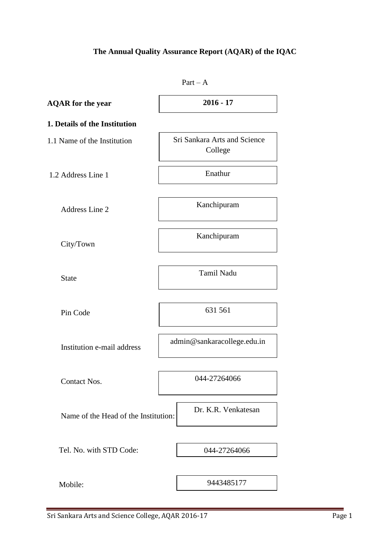# **The Annual Quality Assurance Report (AQAR) of the IQAC**

|                                      | $Part - A$                              |  |  |
|--------------------------------------|-----------------------------------------|--|--|
| <b>AQAR</b> for the year             | $2016 - 17$                             |  |  |
| 1. Details of the Institution        |                                         |  |  |
| 1.1 Name of the Institution          | Sri Sankara Arts and Science<br>College |  |  |
| 1.2 Address Line 1                   | Enathur                                 |  |  |
| Address Line 2                       | Kanchipuram                             |  |  |
| City/Town                            | Kanchipuram                             |  |  |
| <b>State</b>                         | <b>Tamil Nadu</b>                       |  |  |
| Pin Code                             | 631 561                                 |  |  |
| Institution e-mail address           | admin@sankaracollege.edu.in             |  |  |
| Contact Nos.                         | 044-27264066                            |  |  |
| Name of the Head of the Institution: | Dr. K.R. Venkatesan                     |  |  |
| Tel. No. with STD Code:              | 044-27264066                            |  |  |
| Mobile:                              | 9443485177                              |  |  |
|                                      |                                         |  |  |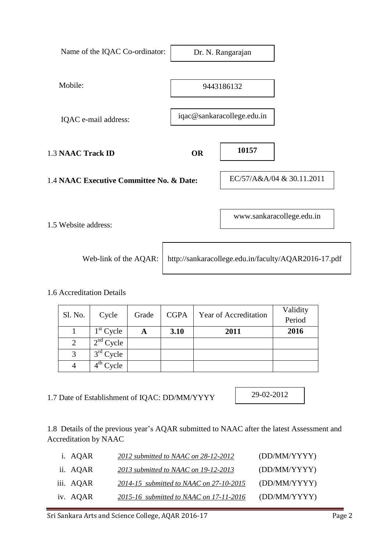| Name of the IQAC Co-ordinator:           | Dr. N. Rangarajan          |       |                                                      |
|------------------------------------------|----------------------------|-------|------------------------------------------------------|
| Mobile:                                  | 9443186132                 |       |                                                      |
| IQAC e-mail address:                     | iqac@sankaracollege.edu.in |       |                                                      |
| <b>1.3 NAAC Track ID</b>                 | <b>OR</b>                  | 10157 |                                                      |
| 1.4 NAAC Executive Committee No. & Date: |                            |       | EC/57/A&A/04 & 30.11.2011                            |
| 1.5 Website address:                     |                            |       | www.sankaracollege.edu.in                            |
| Web-link of the AQAR:                    |                            |       | http://sankaracollege.edu.in/faculty/AQAR2016-17.pdf |

1.6 Accreditation Details

| Sl. No. | Cycle       | Grade | <b>CGPA</b> | Year of Accreditation | Validity<br>Period |
|---------|-------------|-------|-------------|-----------------------|--------------------|
|         | $1st$ Cycle | A     | 3.10        | 2011                  | 2016               |
| 2       | $2nd$ Cycle |       |             |                       |                    |
| 3       | $3rd$ Cycle |       |             |                       |                    |
|         | $4th$ Cycle |       |             |                       |                    |

1.7 Date of Establishment of IQAC: DD/MM/YYYY

29-02-2012

1.8 Details of the previous year"s AQAR submitted to NAAC after the latest Assessment and Accreditation by NAAC

| i. AQAR   | 2012 submitted to NAAC on 28-12-2012    | (DD/MM/YYYY) |
|-----------|-----------------------------------------|--------------|
| ii. AQAR  | 2013 submitted to NAAC on 19-12-2013    | (DD/MM/YYYY) |
| iii. AQAR | 2014-15 submitted to NAAC on 27-10-2015 | (DD/MM/YYYY) |
| iv. AQAR  | 2015-16 submitted to NAAC on 17-11-2016 | (DD/MM/YYYY) |
|           |                                         |              |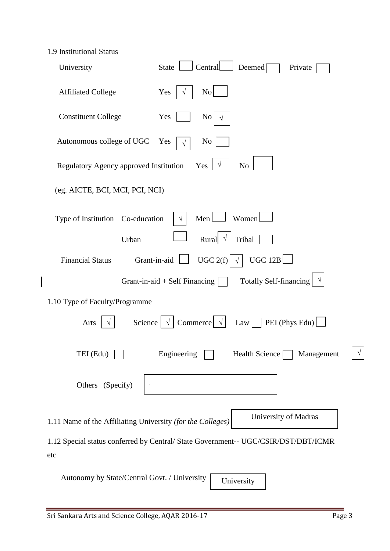|  | 1.9 Institutional Status |  |
|--|--------------------------|--|
|--|--------------------------|--|

 $\overline{\phantom{a}}$ 

| University                                                 | Central<br>Deemed<br><b>State</b><br>Private                                       |
|------------------------------------------------------------|------------------------------------------------------------------------------------|
| <b>Affiliated College</b>                                  | Yes<br>No                                                                          |
| <b>Constituent College</b>                                 | Yes<br>No.                                                                         |
| Autonomous college of UGC                                  | N <sub>0</sub><br>Yes                                                              |
| Regulatory Agency approved Institution                     | Yes<br>No                                                                          |
| (eg. AICTE, BCI, MCI, PCI, NCI)                            |                                                                                    |
| Type of Institution Co-education                           | Women<br>Men                                                                       |
| Urban                                                      | Rural<br>Tribal                                                                    |
| <b>Financial Status</b>                                    | UGC $2(f)$<br>UGC $12B$<br>Grant-in-aid<br>$\perp$                                 |
|                                                            | <b>Totally Self-financing</b><br>Grant-in-aid $+$ Self Financing                   |
| 1.10 Type of Faculty/Programme                             |                                                                                    |
| Science<br>Arts                                            | Commerce $ \sqrt $<br>$\vert$ PEI (Phys Edu)<br>Law                                |
| TEI (Edu)                                                  | Engineering<br>$\sqrt{2}$<br>Health Science<br>Management<br>ν                     |
| Others (Specify)                                           |                                                                                    |
| 1.11 Name of the Affiliating University (for the Colleges) | University of Madras                                                               |
| etc                                                        | 1.12 Special status conferred by Central/ State Government-- UGC/CSIR/DST/DBT/ICMR |
| Autonomy by State/Central Govt. / University               | University                                                                         |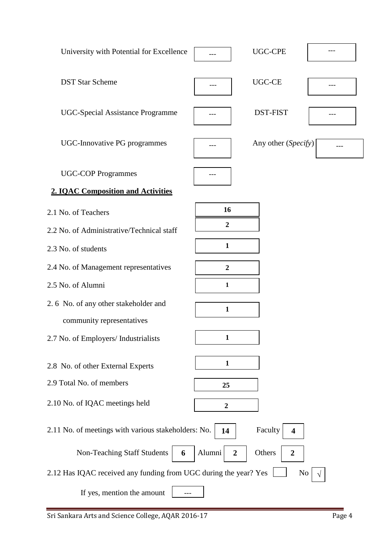| University with Potential for Excellence                         |                            | <b>UGC-CPE</b>             |  |
|------------------------------------------------------------------|----------------------------|----------------------------|--|
| <b>DST Star Scheme</b>                                           |                            | <b>UGC-CE</b>              |  |
| <b>UGC-Special Assistance Programme</b>                          |                            | <b>DST-FIST</b>            |  |
| UGC-Innovative PG programmes                                     |                            | Any other (Specify)        |  |
| <b>UGC-COP Programmes</b>                                        |                            |                            |  |
| <b>2. IQAC Composition and Activities</b>                        |                            |                            |  |
| 2.1 No. of Teachers                                              | 16                         |                            |  |
| 2.2 No. of Administrative/Technical staff                        | $\boldsymbol{2}$           |                            |  |
| 2.3 No. of students                                              | $\mathbf{1}$               |                            |  |
| 2.4 No. of Management representatives                            | $\boldsymbol{2}$           |                            |  |
| 2.5 No. of Alumni                                                | 1                          |                            |  |
| 2.6 No. of any other stakeholder and                             | $\mathbf{1}$               |                            |  |
| community representatives                                        |                            |                            |  |
| 2.7 No. of Employers/ Industrialists                             | 1                          |                            |  |
| 2.8 No. of other External Experts                                | $\mathbf{1}$               |                            |  |
| 2.9 Total No. of members                                         | 25                         |                            |  |
| 2.10 No. of IQAC meetings held                                   | $\boldsymbol{2}$           |                            |  |
| 2.11 No. of meetings with various stakeholders: No.              | 14                         | Faculty<br>4               |  |
| Non-Teaching Staff Students<br>6                                 | Alumni<br>$\boldsymbol{2}$ | Others<br>$\boldsymbol{2}$ |  |
| 2.12 Has IQAC received any funding from UGC during the year? Yes |                            | N <sub>0</sub>             |  |
| If yes, mention the amount                                       |                            |                            |  |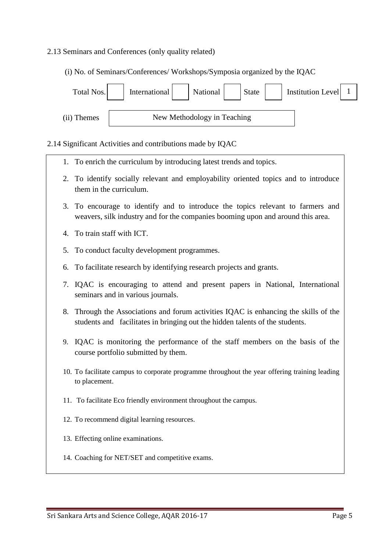#### 2.13 Seminars and Conferences (only quality related)

(i) No. of Seminars/Conferences/ Workshops/Symposia organized by the IQAC



#### 2.14 Significant Activities and contributions made by IQAC

- 1. To enrich the curriculum by introducing latest trends and topics.
- 2. To identify socially relevant and employability oriented topics and to introduce them in the curriculum.
- 3. To encourage to identify and to introduce the topics relevant to farmers and weavers, silk industry and for the companies booming upon and around this area.
- 4. To train staff with ICT.
- 5. To conduct faculty development programmes.
- 6. To facilitate research by identifying research projects and grants.
- 7. IQAC is encouraging to attend and present papers in National, International seminars and in various journals.
- 8. Through the Associations and forum activities IQAC is enhancing the skills of the students and facilitates in bringing out the hidden talents of the students.
- 9. IQAC is monitoring the performance of the staff members on the basis of the course portfolio submitted by them.
- 10. To facilitate campus to corporate programme throughout the year offering training leading to placement.
- 11. To facilitate Eco friendly environment throughout the campus.
- 12. To recommend digital learning resources.
- 13. Effecting online examinations.
- 14. Coaching for NET/SET and competitive exams.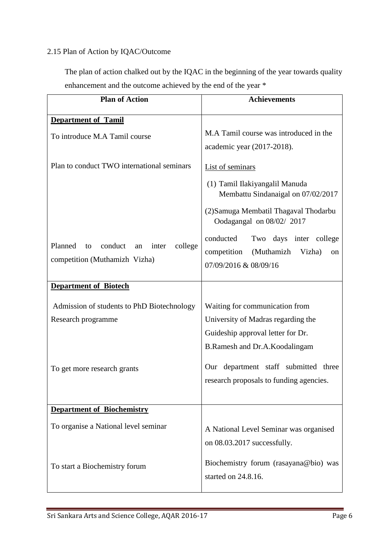### 2.15 Plan of Action by IQAC/Outcome

 The plan of action chalked out by the IQAC in the beginning of the year towards quality enhancement and the outcome achieved by the end of the year \*

| <b>Plan of Action</b>                              | <b>Achievements</b>                                                             |  |  |
|----------------------------------------------------|---------------------------------------------------------------------------------|--|--|
| <b>Department of Tamil</b>                         |                                                                                 |  |  |
| To introduce M.A Tamil course                      | M.A Tamil course was introduced in the<br>academic year (2017-2018).            |  |  |
| Plan to conduct TWO international seminars         | List of seminars                                                                |  |  |
|                                                    | (1) Tamil Ilakiyangalil Manuda<br>Membattu Sindanaigal on 07/02/2017            |  |  |
|                                                    | (2) Samuga Membatil Thagaval Thodarbu<br>Oodagangal on 08/02/2017               |  |  |
|                                                    | conducted<br>Two days inter college                                             |  |  |
| Planned<br>conduct<br>college<br>to<br>inter<br>an | (Muthamizh<br>competition<br>Vizha)<br><sub>on</sub>                            |  |  |
| competition (Muthamizh Vizha)                      | 07/09/2016 & 08/09/16                                                           |  |  |
| <b>Department of Biotech</b>                       |                                                                                 |  |  |
| Admission of students to PhD Biotechnology         | Waiting for communication from                                                  |  |  |
| Research programme                                 | University of Madras regarding the                                              |  |  |
|                                                    | Guideship approval letter for Dr.                                               |  |  |
|                                                    | B.Ramesh and Dr.A.Koodalingam                                                   |  |  |
| To get more research grants                        | Our department staff submitted three<br>research proposals to funding agencies. |  |  |
| <b>Department of Biochemistry</b>                  |                                                                                 |  |  |
| To organise a National level seminar               | A National Level Seminar was organised                                          |  |  |
|                                                    | on 08.03.2017 successfully.                                                     |  |  |
| To start a Biochemistry forum                      | Biochemistry forum (rasayana@bio) was<br>started on 24.8.16.                    |  |  |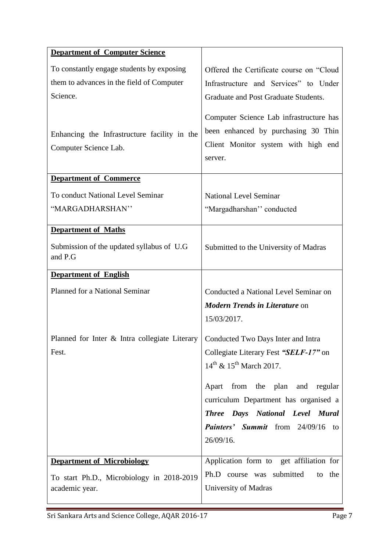| <b>Department of Computer Science</b>                                              |                                                                                                                                  |
|------------------------------------------------------------------------------------|----------------------------------------------------------------------------------------------------------------------------------|
| To constantly engage students by exposing                                          | Offered the Certificate course on "Cloud                                                                                         |
| them to advances in the field of Computer                                          | Infrastructure and Services" to Under                                                                                            |
| Science.                                                                           | Graduate and Post Graduate Students.                                                                                             |
| Enhancing the Infrastructure facility in the<br>Computer Science Lab.              | Computer Science Lab infrastructure has<br>been enhanced by purchasing 30 Thin<br>Client Monitor system with high end<br>server. |
| <b>Department of Commerce</b>                                                      |                                                                                                                                  |
| To conduct National Level Seminar                                                  | <b>National Level Seminar</b>                                                                                                    |
| "MARGADHARSHAN"                                                                    | "Margadharshan" conducted                                                                                                        |
| <b>Department of Maths</b>                                                         |                                                                                                                                  |
| Submission of the updated syllabus of U.G.<br>and P.G                              | Submitted to the University of Madras                                                                                            |
| <b>Department of English</b>                                                       |                                                                                                                                  |
| Planned for a National Seminar                                                     | Conducted a National Level Seminar on                                                                                            |
|                                                                                    | <b>Modern Trends in Literature on</b>                                                                                            |
|                                                                                    | 15/03/2017.                                                                                                                      |
| Planned for Inter & Intra collegiate Literary   Conducted Two Days Inter and Intra |                                                                                                                                  |
| Fest.                                                                              | Collegiate Literary Fest "SELF-17" on                                                                                            |
|                                                                                    | $14^{th}$ & $15^{th}$ March 2017.                                                                                                |
|                                                                                    | Apart from the plan and regular                                                                                                  |
|                                                                                    | curriculum Department has organised a                                                                                            |
|                                                                                    | Three Days National Level Mural                                                                                                  |
|                                                                                    | Painters' Summit from 24/09/16 to                                                                                                |
|                                                                                    | 26/09/16.                                                                                                                        |
| <b>Department of Microbiology</b>                                                  | Application form to get affiliation for                                                                                          |
| To start Ph.D., Microbiology in 2018-2019                                          | Ph.D course was submitted<br>to the                                                                                              |
| academic year.                                                                     | University of Madras                                                                                                             |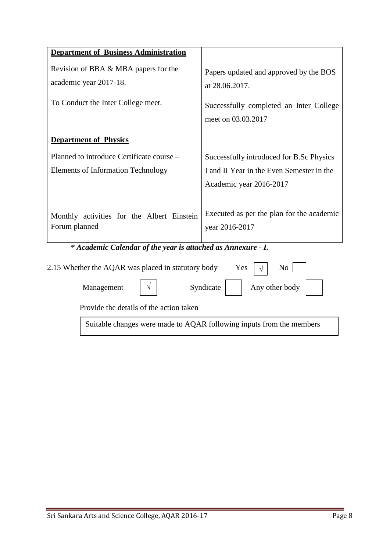| <b>Department of Business Administration</b>                                           |                                                                                        |
|----------------------------------------------------------------------------------------|----------------------------------------------------------------------------------------|
|                                                                                        |                                                                                        |
| Revision of BBA & MBA papers for the<br>academic year 2017-18.                         | Papers updated and approved by the BOS<br>at 28.06.2017.                               |
| To Conduct the Inter College meet.                                                     | Successfully completed an Inter College<br>meet on 03.03.2017                          |
| <b>Department of Physics</b>                                                           |                                                                                        |
| Planned to introduce Certificate course -<br><b>Elements of Information Technology</b> | Successfully introduced for B.Sc Physics<br>I and II Year in the Even Semester in the  |
| Monthly activities for the Albert Einstein<br>Forum planned                            | Academic year 2016-2017<br>Executed as per the plan for the academic<br>year 2016-2017 |
| * Academic Calendar of the year is attached as Annexure - I.                           |                                                                                        |
| 2.15 Whether the AQAR was placed in statutory body                                     | Yes<br>N <sub>0</sub>                                                                  |
| Management<br>V                                                                        | Any other body<br>Syndicate                                                            |

Provide the details of the action taken

Suitable changes were made to AQAR following inputs from the members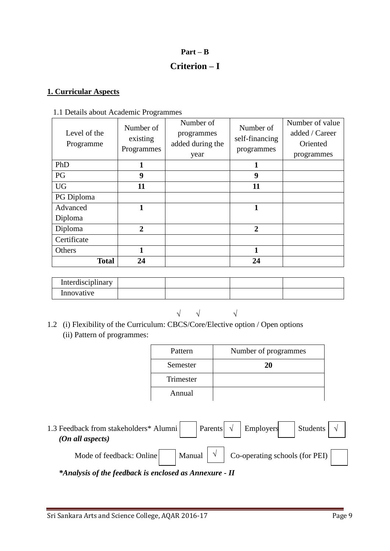# **Part – B Criterion – I**

#### **1. Curricular Aspects**

#### 1.1 Details about Academic Programmes

| Level of the<br>Programme | Number of<br>existing<br>Programmes | Number of<br>programmes<br>added during the<br>year | Number of<br>self-financing<br>programmes | Number of value<br>added / Career<br>Oriented<br>programmes |
|---------------------------|-------------------------------------|-----------------------------------------------------|-------------------------------------------|-------------------------------------------------------------|
| PhD                       |                                     |                                                     | 1                                         |                                                             |
| <b>PG</b>                 | 9                                   |                                                     | 9                                         |                                                             |
| <b>UG</b>                 | 11                                  |                                                     | 11                                        |                                                             |
| PG Diploma                |                                     |                                                     |                                           |                                                             |
| Advanced                  | 1                                   |                                                     | 1                                         |                                                             |
| Diploma                   |                                     |                                                     |                                           |                                                             |
| Diploma                   | $\mathbf{2}$                        |                                                     | 2                                         |                                                             |
| Certificate               |                                     |                                                     |                                           |                                                             |
| Others                    | 1                                   |                                                     | 1                                         |                                                             |
| <b>Total</b>              | 24                                  |                                                     | 24                                        |                                                             |

| Interdisciplinary |  |  |
|-------------------|--|--|
| Innovative        |  |  |

√ √ √

1.2 (i) Flexibility of the Curriculum: CBCS/Core/Elective option / Open options (ii) Pattern of programmes:

| Pattern   | Number of programmes |
|-----------|----------------------|
| Semester  | 20                   |
| Trimester |                      |
| Annual    |                      |

1.3 Feedback from stakeholders\* Alumni Parents  $\begin{array}{|c|c|c|c|c|c|} \hline \end{array}$  Parents  $\begin{array}{|c|c|c|c|c|c|c|c|} \hline \end{array}$  Students  *(On all aspects)* Mode of feedback: Online  $\vert \cdot \vert$  Manual  $\vert \cdot \vert$  Co-operating schools (for PEI) Employers √

*\*Analysis of the feedback is enclosed as Annexure - II*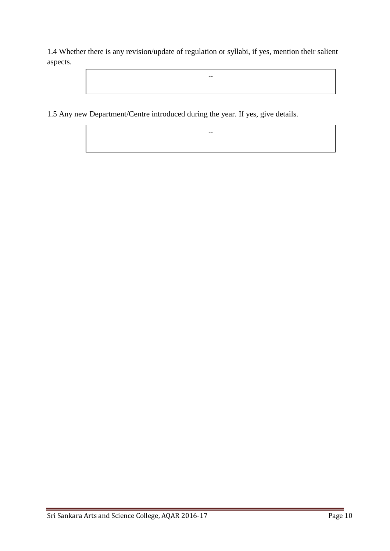1.4 Whether there is any revision/update of regulation or syllabi, if yes, mention their salient aspects.

--

--

1.5 Any new Department/Centre introduced during the year. If yes, give details.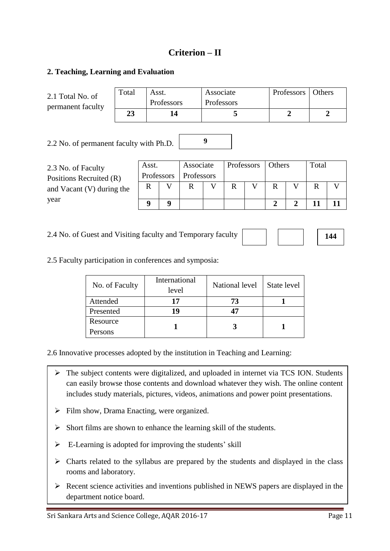## **Criterion – II**

#### **2. Teaching, Learning and Evaluation**

| 2.1 Total No. of<br>permanent faculty         | Total | Asst.               | Professors |                         | Associate<br>Professors |            |   |        | Professors     | Others |             |
|-----------------------------------------------|-------|---------------------|------------|-------------------------|-------------------------|------------|---|--------|----------------|--------|-------------|
|                                               | 23    |                     | 14         |                         |                         | 5          |   |        | $\overline{2}$ |        | $\mathbf 2$ |
| 9<br>2.2 No. of permanent faculty with Ph.D.  |       |                     |            |                         |                         |            |   |        |                |        |             |
| 2.3 No. of Faculty<br>Positions Recruited (R) |       | Asst.<br>Professors |            | Associate<br>Professors |                         | Professors |   | Others |                | Total  |             |
| and Vacant $(V)$ during the                   |       | R                   | V          | R                       | V                       | R          | V | R      | V              | R      | V           |
| year                                          |       | 9                   | 9          |                         |                         |            |   | 2      | 2              |        | 11          |

2.4 No. of Guest and Visiting faculty and Temporary faculty

**144**

2.5 Faculty participation in conferences and symposia:

| No. of Faculty | International<br>level | National level | State level |
|----------------|------------------------|----------------|-------------|
| Attended       |                        | 73             |             |
| Presented      | 19                     |                |             |
| Resource       |                        |                |             |
| Persons        |                        |                |             |

2.6 Innovative processes adopted by the institution in Teaching and Learning:

- $\triangleright$  The subject contents were digitalized, and uploaded in internet via TCS ION. Students can easily browse those contents and download whatever they wish. The online content includes study materials, pictures, videos, animations and power point presentations.
- $\triangleright$  Film show, Drama Enacting, were organized.
- $\triangleright$  Short films are shown to enhance the learning skill of the students.
- $\triangleright$  E-Learning is adopted for improving the students' skill
- $\triangleright$  Charts related to the syllabus are prepared by the students and displayed in the class rooms and laboratory.
- $\triangleright$  Recent science activities and inventions published in NEWS papers are displayed in the department notice board.

 $\mathsf{I}$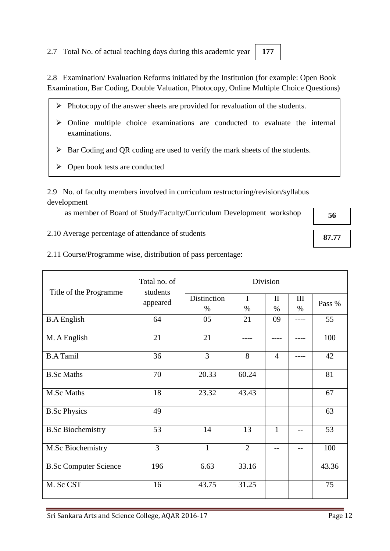2.7 Total No. of actual teaching days during this academic year

 $\triangleright$  Open book tests are conducted

examinations.

2.9 No. of faculty members involved in curriculum restructuring/revision/syllabus development

as member of Board of Study/Faculty/Curriculum Development workshop

2.8 Examination/ Evaluation Reforms initiated by the Institution (for example: Open Book Examination, Bar Coding, Double Valuation, Photocopy, Online Multiple Choice Questions)

 $\triangleright$  Online multiple choice examinations are conducted to evaluate the internal

 $\triangleright$  Photocopy of the answer sheets are provided for revaluation of the students.

2.10 Average percentage of attendance of students

2.11 Course/Programme wise, distribution of pass percentage:

| Title of the Programme       | Total no. of<br>students | Division            |                     |                      |             |        |  |
|------------------------------|--------------------------|---------------------|---------------------|----------------------|-------------|--------|--|
|                              | appeared                 | Distinction<br>$\%$ | $\mathbf I$<br>$\%$ | $\mathbf{I}$<br>$\%$ | III<br>$\%$ | Pass % |  |
| <b>B.A</b> English           | 64                       | 05                  | 21                  | 09                   |             | 55     |  |
| M. A English                 | 21                       | 21                  |                     |                      |             | 100    |  |
| <b>B.A Tamil</b>             | 36                       | 3                   | 8                   | $\overline{4}$       |             | 42     |  |
| <b>B.Sc Maths</b>            | 70                       | 20.33               | 60.24               |                      |             | 81     |  |
| M.Sc Maths                   | 18                       | 23.32               | 43.43               |                      |             | 67     |  |
| <b>B.Sc Physics</b>          | 49                       |                     |                     |                      |             | 63     |  |
| <b>B.Sc Biochemistry</b>     | 53                       | 14                  | 13                  | 1                    | --          | 53     |  |
| M.Sc Biochemistry            | 3                        | $\mathbf{1}$        | $\overline{2}$      | --                   | --          | 100    |  |
| <b>B.Sc Computer Science</b> | 196                      | 6.63                | 33.16               |                      |             | 43.36  |  |
| M. Sc CST                    | 16                       | 43.75               | 31.25               |                      |             | 75     |  |

Sri Sankara Arts and Science College, AQAR 2016-17 Page 12

**177**

**56**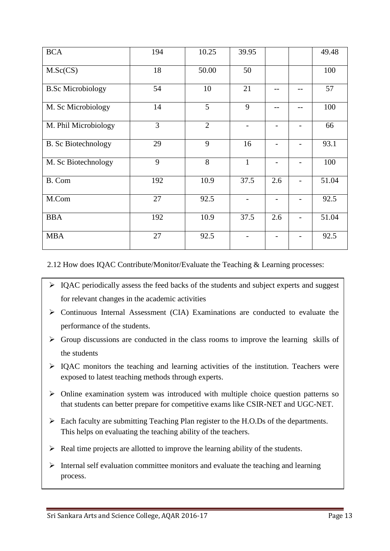| <b>BCA</b>                 | 194 | 10.25          | 39.95        |                          | 49.48 |
|----------------------------|-----|----------------|--------------|--------------------------|-------|
| M.Sc(CS)                   | 18  | 50.00          | 50           |                          | 100   |
| <b>B.Sc Microbiology</b>   | 54  | 10             | 21           |                          | 57    |
| M. Sc Microbiology         | 14  | 5              | 9            | --                       | 100   |
| M. Phil Microbiology       | 3   | $\overline{2}$ |              |                          | 66    |
| <b>B.</b> Sc Biotechnology | 29  | 9              | 16           | $\overline{\phantom{0}}$ | 93.1  |
| M. Sc Biotechnology        | 9   | 8              | $\mathbf{1}$ |                          | 100   |
| B. Com                     | 192 | 10.9           | 37.5         | 2.6                      | 51.04 |
| M.Com                      | 27  | 92.5           |              | $\overline{\phantom{0}}$ | 92.5  |
| <b>BBA</b>                 | 192 | 10.9           | 37.5         | 2.6                      | 51.04 |
| <b>MBA</b>                 | 27  | 92.5           |              | $\overline{\phantom{0}}$ | 92.5  |

2.12 How does IQAC Contribute/Monitor/Evaluate the Teaching & Learning processes:

- $\triangleright$  IQAC periodically assess the feed backs of the students and subject experts and suggest for relevant changes in the academic activities
- $\triangleright$  Continuous Internal Assessment (CIA) Examinations are conducted to evaluate the performance of the students.
- $\triangleright$  Group discussions are conducted in the class rooms to improve the learning skills of the students
- $\triangleright$  IQAC monitors the teaching and learning activities of the institution. Teachers were exposed to latest teaching methods through experts.
- $\triangleright$  Online examination system was introduced with multiple choice question patterns so that students can better prepare for competitive exams like CSIR-NET and UGC-NET.
- $\triangleright$  Each faculty are submitting Teaching Plan register to the H.O.Ds of the departments. This helps on evaluating the teaching ability of the teachers.
- $\triangleright$  Real time projects are allotted to improve the learning ability of the students.
- $\triangleright$  Internal self evaluation committee monitors and evaluate the teaching and learning process.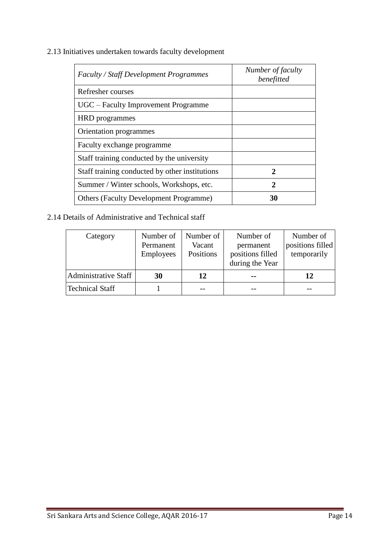2.13 Initiatives undertaken towards faculty development

| <b>Faculty / Staff Development Programmes</b>  | Number of faculty<br>benefitted |
|------------------------------------------------|---------------------------------|
| Refresher courses                              |                                 |
| UGC – Faculty Improvement Programme            |                                 |
| <b>HRD</b> programmes                          |                                 |
| Orientation programmes                         |                                 |
| Faculty exchange programme                     |                                 |
| Staff training conducted by the university     |                                 |
| Staff training conducted by other institutions | $\mathcal{D}_{\cdot}$           |
| Summer / Winter schools, Workshops, etc.       | 2                               |
| <b>Others (Faculty Development Programme)</b>  | 30                              |

2.14 Details of Administrative and Technical staff

| Category                    | Number of<br>Permanent<br>Employees | Number of<br>Vacant<br>Positions | Number of<br>permanent<br>positions filled<br>during the Year | Number of<br>positions filled<br>temporarily |
|-----------------------------|-------------------------------------|----------------------------------|---------------------------------------------------------------|----------------------------------------------|
| <b>Administrative Staff</b> | 30                                  | 12                               | --                                                            | 12                                           |
| <b>Technical Staff</b>      |                                     |                                  |                                                               |                                              |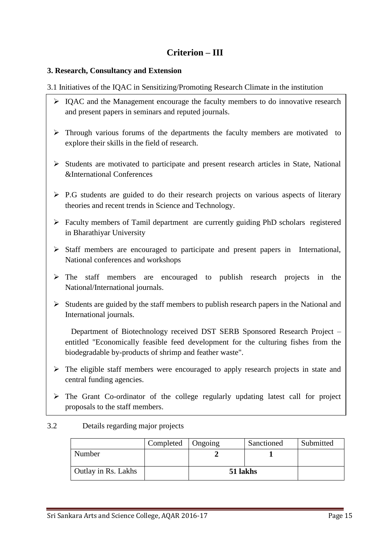# **Criterion – III**

#### **3. Research, Consultancy and Extension**

3.1 Initiatives of the IQAC in Sensitizing/Promoting Research Climate in the institution

- $\triangleright$  IQAC and the Management encourage the faculty members to do innovative research and present papers in seminars and reputed journals.
- $\triangleright$  Through various forums of the departments the faculty members are motivated to explore their skills in the field of research.
- $\triangleright$  Students are motivated to participate and present research articles in State, National &International Conferences
- $\triangleright$  P.G students are guided to do their research projects on various aspects of literary theories and recent trends in Science and Technology.
- Faculty members of Tamil department are currently guiding PhD scholars registered in Bharathiyar University
- $\triangleright$  Staff members are encouraged to participate and present papers in International, National conferences and workshops
- $\triangleright$  The staff members are encouraged to publish research projects in the National/International journals.
- $\triangleright$  Students are guided by the staff members to publish research papers in the National and International journals.

 Department of Biotechnology received DST SERB Sponsored Research Project – entitled "Economically feasible feed development for the culturing fishes from the biodegradable by-products of shrimp and feather waste".

- $\triangleright$  The eligible staff members were encouraged to apply research projects in state and central funding agencies.
- $\triangleright$  The Grant Co-ordinator of the college regularly updating latest call for project proposals to the staff members.

#### 3.2 Details regarding major projects

|                     | Completed | Ongoing  | Sanctioned | Submitted |
|---------------------|-----------|----------|------------|-----------|
| Number              |           |          |            |           |
| Outlay in Rs. Lakhs |           | 51 lakhs |            |           |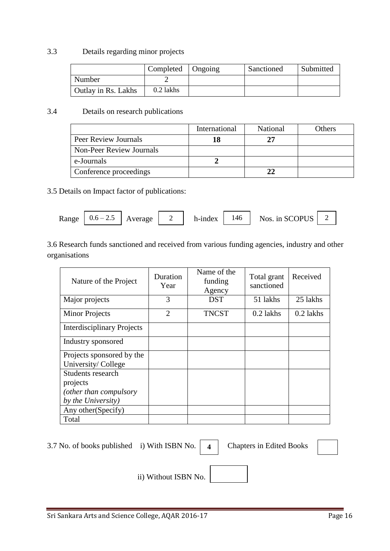#### 3.3 Details regarding minor projects

|                     | Completed   Ongoing | Sanctioned | Submitted |
|---------------------|---------------------|------------|-----------|
| Number              |                     |            |           |
| Outlay in Rs. Lakhs | 0.2 lakhs           |            |           |

#### 3.4 Details on research publications

|                                 | International | National | Others |
|---------------------------------|---------------|----------|--------|
| Peer Review Journals            |               |          |        |
| <b>Non-Peer Review Journals</b> |               |          |        |
| e-Journals                      |               |          |        |
| Conference proceedings          |               |          |        |

3.5 Details on Impact factor of publications:

| $0.6 - 2.5$<br>146<br>Nos. in SCOPUS<br>h-index<br>Range<br>Average<br>∼ |  |  |
|--------------------------------------------------------------------------|--|--|
|--------------------------------------------------------------------------|--|--|

3.6 Research funds sanctioned and received from various funding agencies, industry and other organisations

| Nature of the Project             | Duration<br>Year | Name of the<br>funding<br>Agency | Total grant<br>sanctioned | Received  |
|-----------------------------------|------------------|----------------------------------|---------------------------|-----------|
| Major projects                    | 3                | DST                              | 51 lakhs                  | 25 lakhs  |
| <b>Minor Projects</b>             | $\overline{2}$   | <b>TNCST</b>                     | $0.2$ lakhs               | 0.2 lakhs |
| <b>Interdisciplinary Projects</b> |                  |                                  |                           |           |
| Industry sponsored                |                  |                                  |                           |           |
| Projects sponsored by the         |                  |                                  |                           |           |
| University/College                |                  |                                  |                           |           |
| Students research                 |                  |                                  |                           |           |
| projects                          |                  |                                  |                           |           |
| (other than compulsory            |                  |                                  |                           |           |
| by the University)                |                  |                                  |                           |           |
| Any other (Specify)               |                  |                                  |                           |           |
| Total                             |                  |                                  |                           |           |

**4**

3.7 No. of books published i) With ISBN No.  $\begin{vmatrix} 4 \end{vmatrix}$  Chapters in Edited Books

ii) Without ISBN No.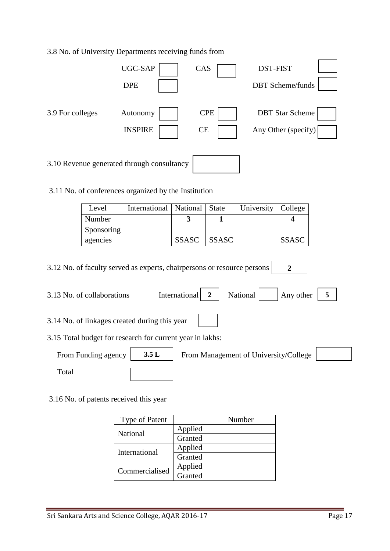#### 3.8 No. of University Departments receiving funds from

|                  | UGC-SAP<br><b>DPE</b>                      | CAS                     | <b>DST-FIST</b><br><b>DBT</b> Scheme/funds    |
|------------------|--------------------------------------------|-------------------------|-----------------------------------------------|
| 3.9 For colleges | Autonomy<br><b>INSPIRE</b>                 | <b>CPE</b><br><b>CE</b> | <b>DBT</b> Star Scheme<br>Any Other (specify) |
|                  | 3.10 Revenue generated through consultancy |                         |                                               |

3.11 No. of conferences organized by the Institution

| Level      | International   National   State |              |              | University   College |              |
|------------|----------------------------------|--------------|--------------|----------------------|--------------|
| Number     |                                  |              |              |                      |              |
| Sponsoring |                                  |              |              |                      |              |
| agencies   |                                  | <b>SSASC</b> | <b>SSASC</b> |                      | <b>SSASC</b> |

3.12 No. of faculty served as experts, chairpersons or resource persons **2**

| 3.13 No. of collaborations                                | International | National                              | Any other |  |  |  |  |  |  |
|-----------------------------------------------------------|---------------|---------------------------------------|-----------|--|--|--|--|--|--|
| 3.14 No. of linkages created during this year             |               |                                       |           |  |  |  |  |  |  |
| 3.15 Total budget for research for current year in lakhs: |               |                                       |           |  |  |  |  |  |  |
| 3.5L<br>From Funding agency                               |               | From Management of University/College |           |  |  |  |  |  |  |

Total

3.16 No. of patents received this year

| <b>Type of Patent</b> |         | Number |
|-----------------------|---------|--------|
| National              | Applied |        |
|                       | Granted |        |
| International         | Applied |        |
|                       | Granted |        |
| Commercialised        | Applied |        |
|                       | Granted |        |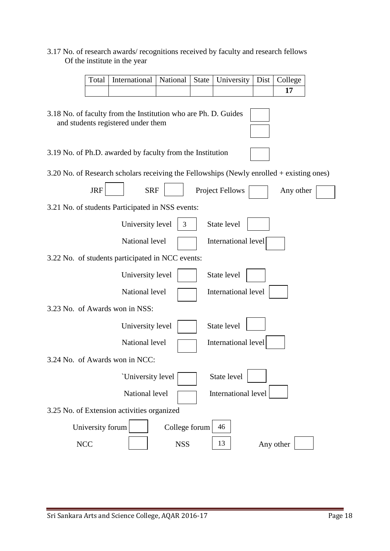#### 3.17 No. of research awards/ recognitions received by faculty and research fellows Of the institute in the year

| Total   International   National   State   University   Dist   College |  |  |  |
|------------------------------------------------------------------------|--|--|--|
|                                                                        |  |  |  |

 $\sim$  10  $\pm$ 

| 3.18 No. of faculty from the Institution who are Ph. D. Guides<br>and students registered under them |
|------------------------------------------------------------------------------------------------------|
| 3.19 No. of Ph.D. awarded by faculty from the Institution                                            |
| 3.20 No. of Research scholars receiving the Fellowships (Newly enrolled $+$ existing ones)           |
| <b>JRF</b><br><b>SRF</b><br><b>Project Fellows</b><br>Any other                                      |
| 3.21 No. of students Participated in NSS events:                                                     |
| State level<br>University level<br>3                                                                 |
| National level<br>International level                                                                |
| 3.22 No. of students participated in NCC events:                                                     |
| State level<br>University level                                                                      |
| National level<br>International level                                                                |
| 3.23 No. of Awards won in NSS:                                                                       |
| State level<br>University level                                                                      |
| International level<br>National level                                                                |
| 3.24 No. of Awards won in NCC:                                                                       |
| State level<br>'University level                                                                     |
| International level<br>National level                                                                |
| 3.25 No. of Extension activities organized                                                           |
| University forum<br>College forum<br>46                                                              |
| 13<br><b>NCC</b><br><b>NSS</b><br>Any other                                                          |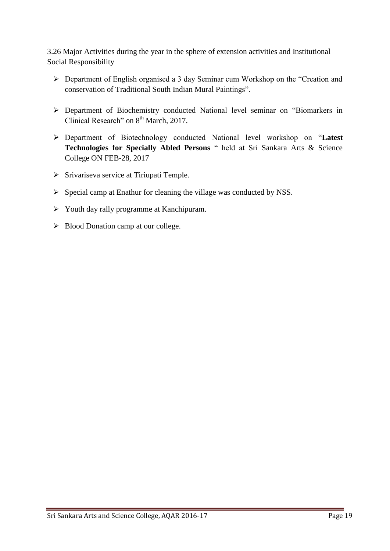3.26 Major Activities during the year in the sphere of extension activities and Institutional Social Responsibility

- Department of English organised a 3 day Seminar cum Workshop on the "Creation and conservation of Traditional South Indian Mural Paintings".
- Department of Biochemistry conducted National level seminar on "Biomarkers in Clinical Research" on  $8<sup>th</sup>$  March, 2017.
- Department of Biotechnology conducted National level workshop on "**Latest Technologies for Specially Abled Persons** " held at Sri Sankara Arts & Science College ON FEB-28, 2017
- $\triangleright$  Srivariseva service at Tiriupati Temple.
- $\triangleright$  Special camp at Enathur for cleaning the village was conducted by NSS.
- $\triangleright$  Youth day rally programme at Kanchipuram.
- $\triangleright$  Blood Donation camp at our college.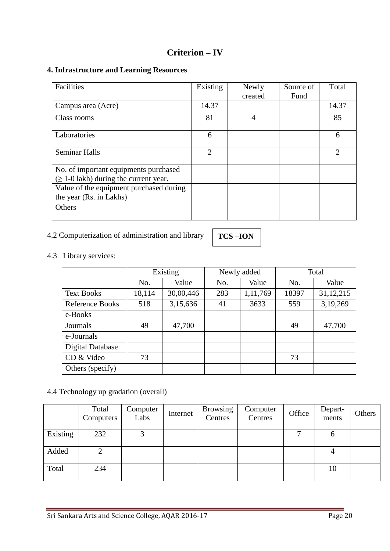## **Criterion – IV**

#### **4. Infrastructure and Learning Resources**

| Facilities                                  | Existing | Newly   | Source of | Total          |
|---------------------------------------------|----------|---------|-----------|----------------|
|                                             |          | created | Fund      |                |
| Campus area (Acre)                          | 14.37    |         |           | 14.37          |
| Class rooms                                 | 81       | 4       |           | 85             |
| Laboratories                                | 6        |         |           | 6              |
| <b>Seminar Halls</b>                        | 2        |         |           | $\overline{2}$ |
| No. of important equipments purchased       |          |         |           |                |
| $(\geq 1$ -0 lakh) during the current year. |          |         |           |                |
| Value of the equipment purchased during     |          |         |           |                |
| the year (Rs. in Lakhs)                     |          |         |           |                |
| Others                                      |          |         |           |                |

# 4.2 Computerization of administration and library

**TCS –ION** 

4.3 Library services:

|                         | Existing |           |     | Newly added | Total |           |  |
|-------------------------|----------|-----------|-----|-------------|-------|-----------|--|
|                         | No.      | Value     | No. | Value       | No.   | Value     |  |
| <b>Text Books</b>       | 18,114   | 30,00,446 | 283 | 1,11,769    | 18397 | 31,12,215 |  |
| <b>Reference Books</b>  | 518      | 3,15,636  | 41  | 3633        | 559   | 3,19,269  |  |
| e-Books                 |          |           |     |             |       |           |  |
| Journals                | 49       | 47,700    |     |             | 49    | 47,700    |  |
| e-Journals              |          |           |     |             |       |           |  |
| <b>Digital Database</b> |          |           |     |             |       |           |  |
| CD & Video              | 73       |           |     |             | 73    |           |  |
| Others (specify)        |          |           |     |             |       |           |  |

### 4.4 Technology up gradation (overall)

|          | Total<br>Computers | Computer<br>Labs | Internet | <b>Browsing</b><br>Centres | Computer<br>Centres | Office | Depart-<br>ments | Others |
|----------|--------------------|------------------|----------|----------------------------|---------------------|--------|------------------|--------|
| Existing | 232                | 3                |          |                            |                     | ⇁      | O                |        |
| Added    | 2                  |                  |          |                            |                     |        |                  |        |
| Total    | 234                |                  |          |                            |                     |        | 10               |        |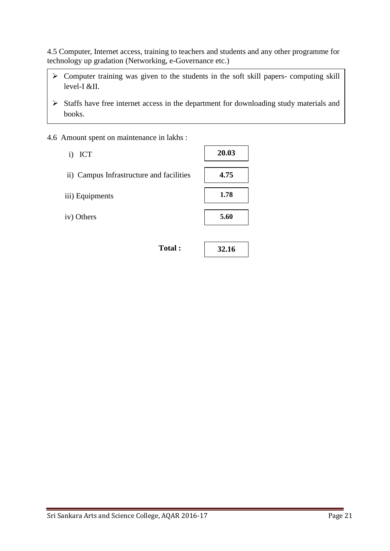4.5 Computer, Internet access, training to teachers and students and any other programme for technology up gradation (Networking, e-Governance etc.)

- $\triangleright$  Computer training was given to the students in the soft skill papers- computing skill level-I &II.
- $\triangleright$  Staffs have free internet access in the department for downloading study materials and books.
- 4.6 Amount spent on maintenance in lakhs :
	- i) ICT
	- ii) Campus Infrastructure and facilities
	- iii) Equipments
	- iv) Others

| <b>otal</b> |  |
|-------------|--|
|             |  |

| 1.78 |
|------|
|      |
| 5.60 |
|      |
|      |

**32.16**

**20.03**

**4.75**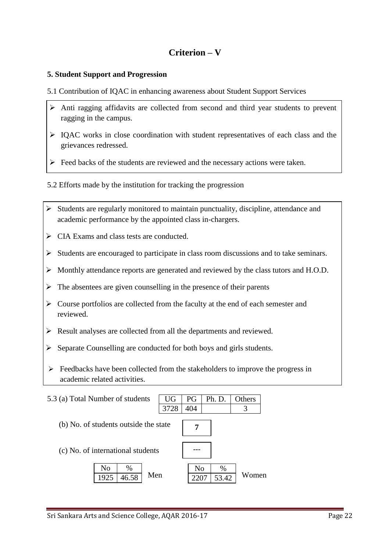# **Criterion – V**

#### **5. Student Support and Progression**

- 5.1 Contribution of IQAC in enhancing awareness about Student Support Services
- Anti ragging affidavits are collected from second and third year students to prevent ragging in the campus.
- IQAC works in close coordination with student representatives of each class and the grievances redressed.
- $\triangleright$  Feed backs of the students are reviewed and the necessary actions were taken.
- 5.2 Efforts made by the institution for tracking the progression
- $\triangleright$  Students are regularly monitored to maintain punctuality, discipline, attendance and academic performance by the appointed class in-chargers.
- $\triangleright$  CIA Exams and class tests are conducted.
- $\triangleright$  Students are encouraged to participate in class room discussions and to take seminars.
- Monthly attendance reports are generated and reviewed by the class tutors and H.O.D.
- $\triangleright$  The absentees are given counselling in the presence of their parents
- $\triangleright$  Course portfolios are collected from the faculty at the end of each semester and reviewed.
- $\triangleright$  Result analyses are collected from all the departments and reviewed.
- $\triangleright$  Separate Counselling are conducted for both boys and girls students.
- $\triangleright$  Feedbacks have been collected from the stakeholders to improve the progress in academic related activities.

| 5.3 (a) Total Number of students      | UG   | PG             | Ph. D.        | Others |  |
|---------------------------------------|------|----------------|---------------|--------|--|
|                                       | 3728 | 404            |               | 3      |  |
| (b) No. of students outside the state |      |                |               |        |  |
| (c) No. of international students     |      |                |               |        |  |
| No<br>%<br>Men<br>46.58<br>1925       |      | N <sub>0</sub> | $\%$<br>53.42 | Women  |  |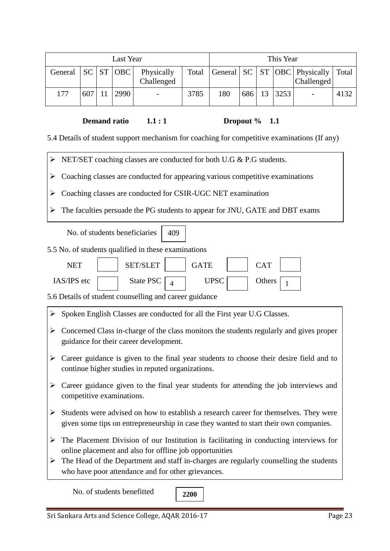| Last Year |     |  |           | This Year                |      |     |     |    |      |                                                                      |      |
|-----------|-----|--|-----------|--------------------------|------|-----|-----|----|------|----------------------------------------------------------------------|------|
| General   |     |  | SC ST OBC | Physically<br>Challenged |      |     |     |    |      | Total   General   SC   ST   OBC   Physically   Total<br>  Challenged |      |
| 177       | 607 |  | 2990      | -                        | 3785 | 180 | 686 | 13 | 3253 | $\overline{\phantom{a}}$                                             | 4132 |

**Demand ratio** 1.1 **:** 1 Dropout % 1.1

5.4 Details of student support mechanism for coaching for competitive examinations (If any)

> NET/SET coaching classes are conducted for both U.G & P.G students.

 $\triangleright$  Coaching classes are conducted for appearing various competitive examinations

Coaching classes are conducted for CSIR-UGC NET examination

The faculties persuade the PG students to appear for JNU, GATE and DBT exams

|   | No. of students beneficiaries<br>409                                                                                                                                           |  |  |  |  |  |
|---|--------------------------------------------------------------------------------------------------------------------------------------------------------------------------------|--|--|--|--|--|
|   | 5.5 No. of students qualified in these examinations                                                                                                                            |  |  |  |  |  |
|   | <b>SET/SLET</b><br><b>NET</b><br><b>GATE</b><br><b>CAT</b>                                                                                                                     |  |  |  |  |  |
|   | IAS/IPS etc<br><b>State PSC</b><br><b>UPSC</b><br>Others<br>$\boldsymbol{\Delta}$<br>1                                                                                         |  |  |  |  |  |
|   | 5.6 Details of student counselling and career guidance                                                                                                                         |  |  |  |  |  |
|   | $\triangleright$ Spoken English Classes are conducted for all the First year U.G Classes.                                                                                      |  |  |  |  |  |
| ➤ | Concerned Class in-charge of the class monitors the students regularly and gives proper<br>guidance for their career development.                                              |  |  |  |  |  |
| ➤ | Career guidance is given to the final year students to choose their desire field and to<br>continue higher studies in reputed organizations.                                   |  |  |  |  |  |
| ➤ | Career guidance given to the final year students for attending the job interviews and<br>competitive examinations.                                                             |  |  |  |  |  |
| ➤ | Students were advised on how to establish a research career for themselves. They were<br>given some tips on entrepreneurship in case they wanted to start their own companies. |  |  |  |  |  |
| ➤ | The Placement Division of our Institution is facilitating in conducting interviews for<br>online placement and also for offline job opportunities                              |  |  |  |  |  |
|   | $\triangleright$ The Head of the Department and staff in-charges are regularly counselling the students<br>who have poor attendance and for other grievances.                  |  |  |  |  |  |
|   |                                                                                                                                                                                |  |  |  |  |  |

No. of students benefitted

**2200**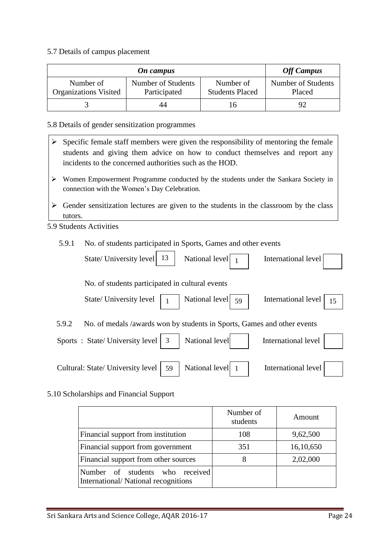#### 5.7 Details of campus placement

|                                           | <b>Off Campus</b>                  |                                     |                              |
|-------------------------------------------|------------------------------------|-------------------------------------|------------------------------|
| Number of<br><b>Organizations Visited</b> | Number of Students<br>Participated | Number of<br><b>Students Placed</b> | Number of Students<br>Placed |
|                                           | 44                                 | Iб                                  |                              |

#### 5.8 Details of gender sensitization programmes

- $\triangleright$  Specific female staff members were given the responsibility of mentoring the female students and giving them advice on how to conduct themselves and report any incidents to the concerned authorities such as the HOD.
- Women Empowerment Programme conducted by the students under the Sankara Society in connection with the Women"s Day Celebration.
- $\triangleright$  Gender sensitization lectures are given to the students in the classroom by the class tutors.

#### 5.9 Students Activities

5.9.1 No. of students participated in Sports, Games and other events

| State/ University level                         | -13 | National level $\begin{bmatrix} 1 \end{bmatrix}$                        | International level        |
|-------------------------------------------------|-----|-------------------------------------------------------------------------|----------------------------|
| No. of students participated in cultural events |     |                                                                         |                            |
| State/ University level                         |     | National level $\boxed{59}$                                             | International level<br>15  |
| 5.9.2                                           |     | No. of medals /awards won by students in Sports, Games and other events |                            |
| Sports: State/University level   3              |     | National level                                                          | International level        |
| Cultural: State/ University level               | 59  | National level 1                                                        | <b>International level</b> |

#### 5.10 Scholarships and Financial Support

|                                                                        | Number of<br>students | Amount    |
|------------------------------------------------------------------------|-----------------------|-----------|
| Financial support from institution                                     | 108                   | 9,62,500  |
| Financial support from government                                      | 351                   | 16,10,650 |
| Financial support from other sources                                   | 8                     | 2,02,000  |
| Number of students who received<br>International/National recognitions |                       |           |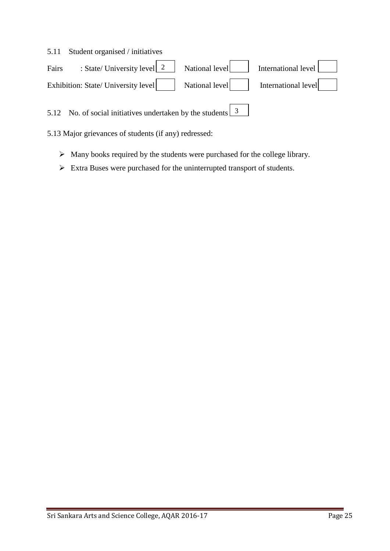#### 5.11 Student organised / initiatives

| Fairs : State/ University level 2 National level                                               | International level |
|------------------------------------------------------------------------------------------------|---------------------|
| Exhibition: State/ University level National level has negligible vell here is not negligible. |                     |

5.12 No. of social initiatives undertaken by the students  $\frac{3}{5}$ 

5.13 Major grievances of students (if any) redressed:

- $\triangleright$  Many books required by the students were purchased for the college library.
- Extra Buses were purchased for the uninterrupted transport of students.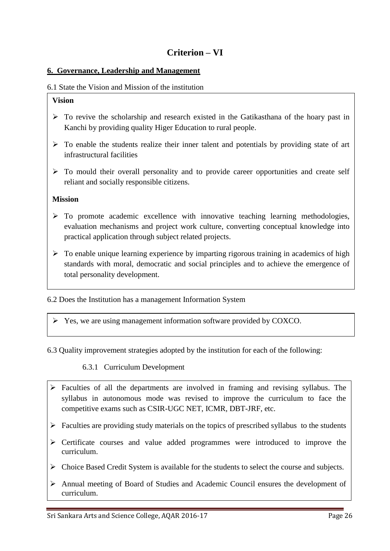#### **6. Governance, Leadership and Management**

#### 6.1 State the Vision and Mission of the institution

#### **Vision**

- $\triangleright$  To revive the scholarship and research existed in the Gatikasthana of the hoary past in Kanchi by providing quality Higer Education to rural people.
- $\triangleright$  To enable the students realize their inner talent and potentials by providing state of art infrastructural facilities
- $\triangleright$  To mould their overall personality and to provide career opportunities and create self reliant and socially responsible citizens.

#### **Mission**

- $\triangleright$  To promote academic excellence with innovative teaching learning methodologies, evaluation mechanisms and project work culture, converting conceptual knowledge into practical application through subject related projects.
- $\triangleright$  To enable unique learning experience by imparting rigorous training in academics of high standards with moral, democratic and social principles and to achieve the emergence of total personality development.

6.2 Does the Institution has a management Information System

Yes, we are using management information software provided by COXCO.

6.3 Quality improvement strategies adopted by the institution for each of the following:

6.3.1 Curriculum Development

- $\triangleright$  Faculties of all the departments are involved in framing and revising syllabus. The syllabus in autonomous mode was revised to improve the curriculum to face the competitive exams such as CSIR-UGC NET, ICMR, DBT-JRF, etc.
- $\triangleright$  Faculties are providing study materials on the topics of prescribed syllabus to the students
- Certificate courses and value added programmes were introduced to improve the curriculum.
- Choice Based Credit System is available for the students to select the course and subjects.
- Annual meeting of Board of Studies and Academic Council ensures the development of curriculum.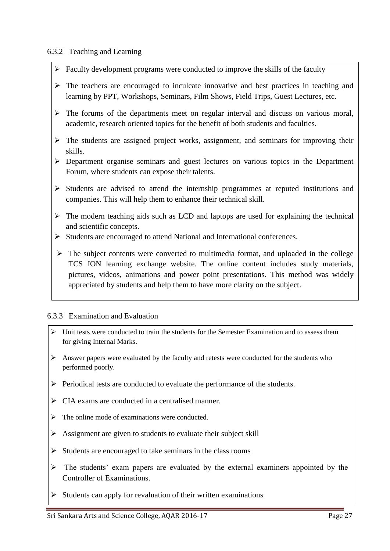#### 6.3.2 Teaching and Learning

- $\triangleright$  Faculty development programs were conducted to improve the skills of the faculty
- $\triangleright$  The teachers are encouraged to inculcate innovative and best practices in teaching and learning by PPT, Workshops, Seminars, Film Shows, Field Trips, Guest Lectures, etc.
- $\triangleright$  The forums of the departments meet on regular interval and discuss on various moral, academic, research oriented topics for the benefit of both students and faculties.
- $\triangleright$  The students are assigned project works, assignment, and seminars for improving their skills.
- Department organise seminars and guest lectures on various topics in the Department Forum, where students can expose their talents.
- $\triangleright$  Students are advised to attend the internship programmes at reputed institutions and companies. This will help them to enhance their technical skill.
- $\triangleright$  The modern teaching aids such as LCD and laptops are used for explaining the technical and scientific concepts.
- Students are encouraged to attend National and International conferences.
- $\triangleright$  The subject contents were converted to multimedia format, and uploaded in the college TCS ION learning exchange website. The online content includes study materials, pictures, videos, animations and power point presentations. This method was widely appreciated by students and help them to have more clarity on the subject.

#### 6.3.3 Examination and Evaluation

- $\triangleright$  Unit tests were conducted to train the students for the Semester Examination and to assess them for giving Internal Marks.
- $\triangleright$  Answer papers were evaluated by the faculty and retests were conducted for the students who performed poorly.
- $\triangleright$  Periodical tests are conducted to evaluate the performance of the students.
- $\triangleright$  CIA exams are conducted in a centralised manner.
- $\triangleright$  The online mode of examinations were conducted.
- $\triangleright$  Assignment are given to students to evaluate their subject skill
- $\triangleright$  Students are encouraged to take seminars in the class rooms
- $\triangleright$  The students' exam papers are evaluated by the external examiners appointed by the Controller of Examinations.
- $\triangleright$  Students can apply for revaluation of their written examinations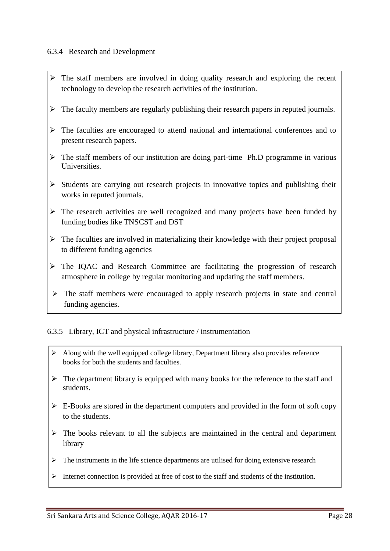#### 6.3.4 Research and Development

- $\triangleright$  The staff members are involved in doing quality research and exploring the recent technology to develop the research activities of the institution.
- $\triangleright$  The faculty members are regularly publishing their research papers in reputed journals.
- $\triangleright$  The faculties are encouraged to attend national and international conferences and to present research papers.
- $\triangleright$  The staff members of our institution are doing part-time Ph.D programme in various **Universities**
- $\triangleright$  Students are carrying out research projects in innovative topics and publishing their works in reputed journals.
- $\triangleright$  The research activities are well recognized and many projects have been funded by funding bodies like TNSCST and DST
- $\triangleright$  The faculties are involved in materializing their knowledge with their project proposal to different funding agencies
- $\triangleright$  The IQAC and Research Committee are facilitating the progression of research atmosphere in college by regular monitoring and updating the staff members.
- $\triangleright$  The staff members were encouraged to apply research projects in state and central funding agencies.

#### 6.3.5 Library, ICT and physical infrastructure / instrumentation

- $\triangleright$  Along with the well equipped college library, Department library also provides reference books for both the students and faculties.
- $\triangleright$  The department library is equipped with many books for the reference to the staff and students.
- $\triangleright$  E-Books are stored in the department computers and provided in the form of soft copy to the students.
- $\triangleright$  The books relevant to all the subjects are maintained in the central and department library
- $\triangleright$  The instruments in the life science departments are utilised for doing extensive research
- Internet connection is provided at free of cost to the staff and students of the institution.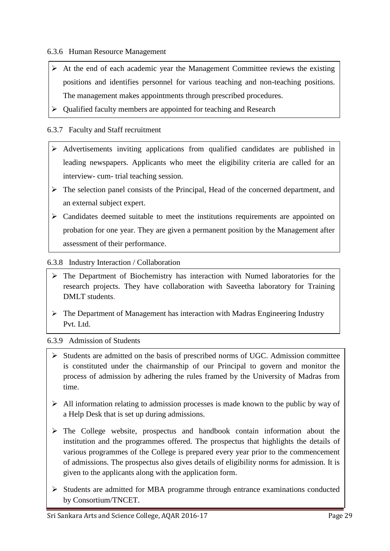6.3.6 Human Resource Management

- $\triangleright$  At the end of each academic year the Management Committee reviews the existing positions and identifies personnel for various teaching and non-teaching positions. The management makes appointments through prescribed procedures.
- $\triangleright$  Qualified faculty members are appointed for teaching and Research

#### 6.3.7 Faculty and Staff recruitment

- Advertisements inviting applications from qualified candidates are published in leading newspapers. Applicants who meet the eligibility criteria are called for an interview- cum- trial teaching session.
- $\triangleright$  The selection panel consists of the Principal, Head of the concerned department, and an external subject expert.
- $\triangleright$  Candidates deemed suitable to meet the institutions requirements are appointed on probation for one year. They are given a permanent position by the Management after assessment of their performance.

#### 6.3.8 Industry Interaction / Collaboration

- research projects. They have collaboration with Saveetha laboratory for Training  $\triangleright$  The Department of Biochemistry has interaction with Numed laboratories for the DMLT students.
- $\triangleright$  The Department of Management has interaction with Madras Engineering Industry Pvt. Ltd.

#### 6.3.9 Admission of Students

- $\triangleright$  Students are admitted on the basis of prescribed norms of UGC. Admission committee is constituted under the chairmanship of our Principal to govern and monitor the process of admission by adhering the rules framed by the University of Madras from time.
- $\triangleright$  All information relating to admission processes is made known to the public by way of a Help Desk that is set up during admissions.
- $\triangleright$  The College website, prospectus and handbook contain information about the institution and the programmes offered. The prospectus that highlights the details of various programmes of the College is prepared every year prior to the commencement of admissions. The prospectus also gives details of eligibility norms for admission. It is given to the applicants along with the application form.
- $\triangleright$  Students are admitted for MBA programme through entrance examinations conducted by Consortium/TNCET.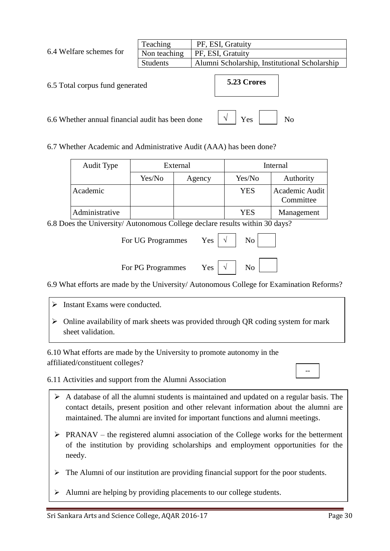|                                                  | Teaching<br>PF, ESI, Gratuity |                                               |  |  |
|--------------------------------------------------|-------------------------------|-----------------------------------------------|--|--|
| 6.4 Welfare schemes for                          | Non teaching                  | PF, ESI, Gratuity                             |  |  |
|                                                  | <b>Students</b>               | Alumni Scholarship, Institutional Scholarship |  |  |
| 6.5 Total corpus fund generated                  |                               | 5.23 Crores                                   |  |  |
| 6.6 Whether annual financial audit has been done |                               | Yes                                           |  |  |

6.7 Whether Academic and Administrative Audit (AAA) has been done?

| Audit Type     |        | External | Internal   |                             |  |
|----------------|--------|----------|------------|-----------------------------|--|
|                | Yes/No | Agency   | Yes/No     | Authority                   |  |
| Academic       |        |          | <b>YES</b> | Academic Audit<br>Committee |  |
| Administrative |        |          | <b>YES</b> | Management                  |  |

6.8 Does the University/ Autonomous College declare results within 30 days?

| For UG Programmes | $Yes \mid$ | No |  |
|-------------------|------------|----|--|
| For PG Programmes | $Yes \mid$ |    |  |

6.9 What efforts are made by the University/ Autonomous College for Examination Reforms?

- $\triangleright$  Instant Exams were conducted.
- $\triangleright$  Online availability of mark sheets was provided through QR coding system for mark sheet validation.

6.10 What efforts are made by the University to promote autonomy in the affiliated/constituent colleges?

6.11 Activities and support from the Alumni Association

- $\triangleright$  A database of all the alumni students is maintained and updated on a regular basis. The contact details, present position and other relevant information about the alumni are maintained. The alumni are invited for important functions and alumni meetings.
- $\triangleright$  PRANAV the registered alumni association of the College works for the betterment of the institution by providing scholarships and employment opportunities for the needy.
- $\triangleright$  The Alumni of our institution are providing financial support for the poor students.
- $\triangleright$  Alumni are helping by providing placements to our college students.

--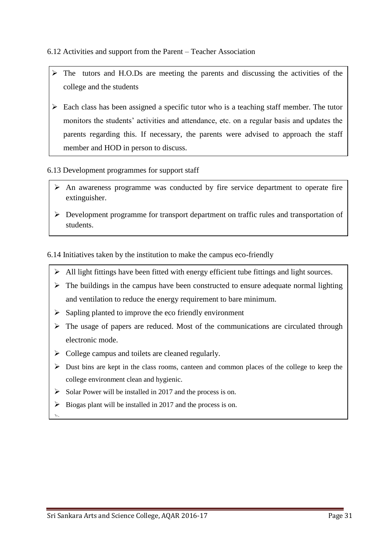#### 6.12 Activities and support from the Parent – Teacher Association

- $\triangleright$  The tutors and H.O.Ds are meeting the parents and discussing the activities of the college and the students
- $\triangleright$  Each class has been assigned a specific tutor who is a teaching staff member. The tutor monitors the students" activities and attendance, etc. on a regular basis and updates the parents regarding this. If necessary, the parents were advised to approach the staff member and HOD in person to discuss.

#### 6.13 Development programmes for support staff

- $\triangleright$  An awareness programme was conducted by fire service department to operate fire extinguisher.
- Development programme for transport department on traffic rules and transportation of students.

6.14 Initiatives taken by the institution to make the campus eco-friendly

- $\triangleright$  All light fittings have been fitted with energy efficient tube fittings and light sources.
- $\triangleright$  The buildings in the campus have been constructed to ensure adequate normal lighting and ventilation to reduce the energy requirement to bare minimum.
- $\triangleright$  Sapling planted to improve the eco friendly environment
- $\triangleright$  The usage of papers are reduced. Most of the communications are circulated through electronic mode.
- $\triangleright$  College campus and toilets are cleaned regularly.
- $\triangleright$  Dust bins are kept in the class rooms, canteen and common places of the college to keep the college environment clean and hygienic.
- $\triangleright$  Solar Power will be installed in 2017 and the process is on.
- $\triangleright$  Biogas plant will be installed in 2017 and the process is on.
- $\overline{\phantom{0}}$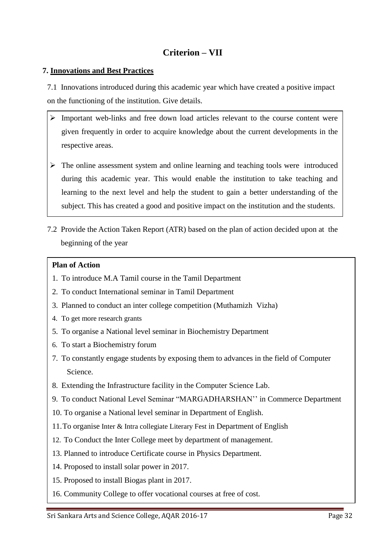# **Criterion – VII**

#### **7. Innovations and Best Practices**

7.1 Innovations introduced during this academic year which have created a positive impact on the functioning of the institution. Give details.

- $\triangleright$  Important web-links and free down load articles relevant to the course content were given frequently in order to acquire knowledge about the current developments in the respective areas.
- $\triangleright$  The online assessment system and online learning and teaching tools were introduced during this academic year. This would enable the institution to take teaching and learning to the next level and help the student to gain a better understanding of the subject. This has created a good and positive impact on the institution and the students.
- 7.2 Provide the Action Taken Report (ATR) based on the plan of action decided upon at the beginning of the year

#### **Plan of Action**

- 1. To introduce M.A Tamil course in the Tamil Department
- 2. To conduct International seminar in Tamil Department
- 3. Planned to conduct an inter college competition (Muthamizh Vizha)
- 4. To get more research grants
- 5. To organise a National level seminar in Biochemistry Department
- 6. To start a Biochemistry forum
- 7. To constantly engage students by exposing them to advances in the field of Computer Science.
- 8. Extending the Infrastructure facility in the Computer Science Lab.
- 9. To conduct National Level Seminar "MARGADHARSHAN"" in Commerce Department
- 10. To organise a National level seminar in Department of English.
- 11.To organise Inter & Intra collegiate Literary Fest in Department of English
- 12. To Conduct the Inter College meet by department of management.
- 13. Planned to introduce Certificate course in Physics Department.
- 14. Proposed to install solar power in 2017.
- 15. Proposed to install Biogas plant in 2017.
- 16. Community College to offer vocational courses at free of cost.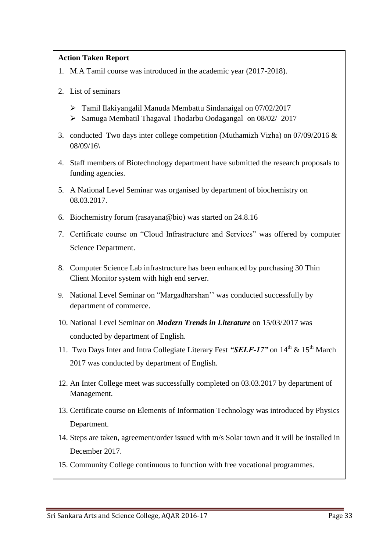#### **Action Taken Report**

- 1. M.A Tamil course was introduced in the academic year (2017-2018).
- 2. List of seminars
	- Tamil Ilakiyangalil Manuda Membattu Sindanaigal on 07/02/2017
	- Samuga Membatil Thagaval Thodarbu Oodagangal on 08/02/ 2017
- 3. conducted Two days inter college competition (Muthamizh Vizha) on 07/09/2016 & 08/09/16\
- 4. Staff members of Biotechnology department have submitted the research proposals to funding agencies.
- 5. A National Level Seminar was organised by department of biochemistry on 08.03.2017.
- 6. Biochemistry forum (rasayana@bio) was started on 24.8.16
- 7. Certificate course on "Cloud Infrastructure and Services" was offered by computer Science Department.
- 8. Computer Science Lab infrastructure has been enhanced by purchasing 30 Thin Client Monitor system with high end server.
- 9. National Level Seminar on "Margadharshan"" was conducted successfully by department of commerce.
- 10. National Level Seminar on *Modern Trends in Literature* on 15/03/2017 was conducted by department of English.
- 11. Two Days Inter and Intra Collegiate Literary Fest "SELF-17" on 14<sup>th</sup> & 15<sup>th</sup> March 2017 was conducted by department of English.
- 12. An Inter College meet was successfully completed on 03.03.2017 by department of Management.
- 13. Certificate course on Elements of Information Technology was introduced by Physics Department.
- 14. Steps are taken, agreement/order issued with m/s Solar town and it will be installed in December 2017.
- 15. Community College continuous to function with free vocational programmes.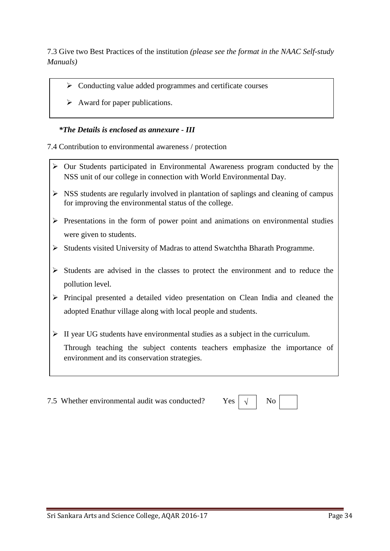7.3 Give two Best Practices of the institution *(please see the format in the NAAC Self-study Manuals)*

- $\triangleright$  Conducting value added programmes and certificate courses
- $\triangleright$  Award for paper publications.

#### *\*The Details is enclosed as annexure - III*

7.4 Contribution to environmental awareness / protection

- $\triangleright$  Our Students participated in Environmental Awareness program conducted by the NSS unit of our college in connection with World Environmental Day.
- $\triangleright$  NSS students are regularly involved in plantation of saplings and cleaning of campus for improving the environmental status of the college.
- $\triangleright$  Presentations in the form of power point and animations on environmental studies were given to students.
- Students visited University of Madras to attend Swatchtha Bharath Programme.
- $\triangleright$  Students are advised in the classes to protect the environment and to reduce the pollution level.
- $\triangleright$  Principal presented a detailed video presentation on Clean India and cleaned the adopted Enathur village along with local people and students.
- $\triangleright$  II year UG students have environmental studies as a subject in the curriculum.

Through teaching the subject contents teachers emphasize the importance of environment and its conservation strategies.

7.5 Whether environmental audit was conducted? Y

| -<br>PS |  | ง∩ |
|---------|--|----|
|---------|--|----|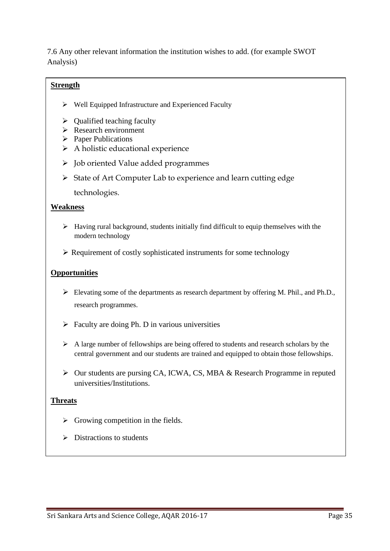7.6 Any other relevant information the institution wishes to add. (for example SWOT Analysis)

#### **Strength**

- $\triangleright$  Well Equipped Infrastructure and Experienced Faculty
- $\triangleright$  Qualified teaching faculty
- $\triangleright$  Research environment
- $\triangleright$  Paper Publications
- $\triangleright$  A holistic educational experience
- $\triangleright$  Job oriented Value added programmes
- $\triangleright$  State of Art Computer Lab to experience and learn cutting edge

technologies.

#### **Weakness**

- $\triangleright$  Having rural background, students initially find difficult to equip themselves with the modern technology
- $\triangleright$  Requirement of costly sophisticated instruments for some technology

#### **Opportunities**

- Elevating some of the departments as research department by offering M. Phil., and Ph.D., research programmes.
- $\triangleright$  Faculty are doing Ph. D in various universities
- $\triangleright$  A large number of fellowships are being offered to students and research scholars by the central government and our students are trained and equipped to obtain those fellowships.
- Our students are pursing CA, ICWA, CS, MBA & Research Programme in reputed universities/Institutions.

#### **Threats**

- $\triangleright$  Growing competition in the fields.
- $\triangleright$  Distractions to students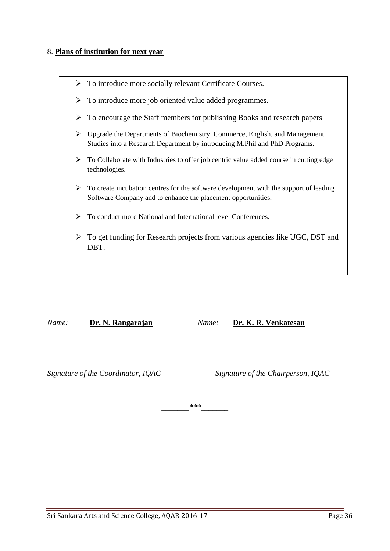#### 8. **Plans of institution for next year**



*Name:* **Dr. N. Rangarajan** *Name:* **Dr. K. R. Venkatesan**

*Signature of the Coordinator, IQAC Signature of the Chairperson, IQAC*

*\_\_\_\_\_\_\_\*\*\*\_\_\_\_\_\_\_*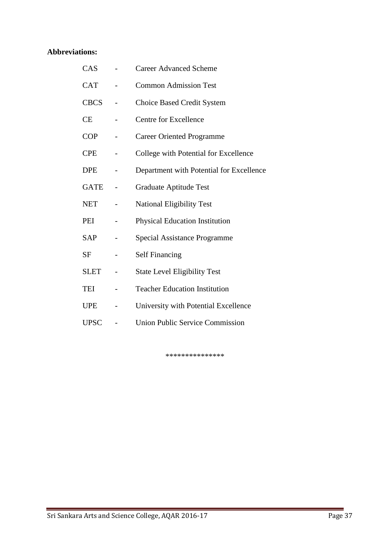### **Abbreviations:**

| CAS         | <b>Career Advanced Scheme</b>            |
|-------------|------------------------------------------|
| <b>CAT</b>  | <b>Common Admission Test</b>             |
| <b>CBCS</b> | <b>Choice Based Credit System</b>        |
| <b>CE</b>   | Centre for Excellence                    |
| <b>COP</b>  | Career Oriented Programme                |
| <b>CPE</b>  | College with Potential for Excellence    |
| <b>DPE</b>  | Department with Potential for Excellence |
| <b>GATE</b> | Graduate Aptitude Test                   |
| <b>NET</b>  | <b>National Eligibility Test</b>         |
| PEI         | <b>Physical Education Institution</b>    |
| <b>SAP</b>  | <b>Special Assistance Programme</b>      |
| <b>SF</b>   | <b>Self Financing</b>                    |
| <b>SLET</b> | <b>State Level Eligibility Test</b>      |
| TEI         | <b>Teacher Education Institution</b>     |
| <b>UPE</b>  | University with Potential Excellence     |
| <b>UPSC</b> | <b>Union Public Service Commission</b>   |

\*\*\*\*\*\*\*\*\*\*\*\*\*\*\*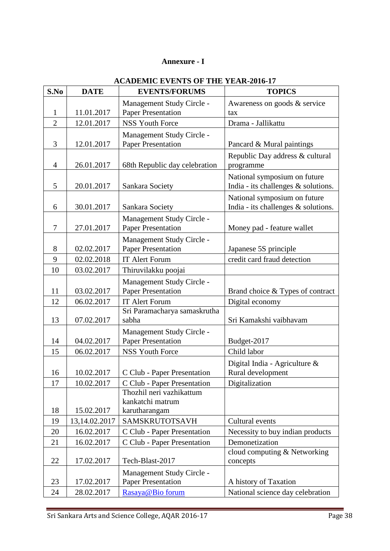#### **Annexure - I**

| S.No           | <b>DATE</b>     | <b>EVENTS/FORUMS</b>                                          | <b>TOPICS</b>                                                       |
|----------------|-----------------|---------------------------------------------------------------|---------------------------------------------------------------------|
|                |                 | Management Study Circle -                                     | Awareness on goods & service                                        |
| 1              | 11.01.2017      | <b>Paper Presentation</b>                                     | tax                                                                 |
| $\overline{2}$ | 12.01.2017      | <b>NSS Youth Force</b>                                        | Drama - Jallikattu                                                  |
| 3              | 12.01.2017      | Management Study Circle -<br><b>Paper Presentation</b>        | Pancard & Mural paintings                                           |
| $\overline{4}$ | 26.01.2017      | 68th Republic day celebration                                 | Republic Day address & cultural<br>programme                        |
| 5              | 20.01.2017      | Sankara Society                                               | National symposium on future<br>India - its challenges & solutions. |
| 6              | 30.01.2017      | Sankara Society                                               | National symposium on future<br>India - its challenges & solutions. |
| $\overline{7}$ | 27.01.2017      | Management Study Circle -<br><b>Paper Presentation</b>        | Money pad - feature wallet                                          |
| 8              | 02.02.2017      | Management Study Circle -<br><b>Paper Presentation</b>        | Japanese 5S principle                                               |
| 9              | 02.02.2018      | IT Alert Forum                                                | credit card fraud detection                                         |
| 10             | 03.02.2017      | Thiruvilakku poojai                                           |                                                                     |
| 11             | 03.02.2017      | Management Study Circle -<br><b>Paper Presentation</b>        | Brand choice & Types of contract                                    |
| 12             | 06.02.2017      | IT Alert Forum                                                | Digital economy                                                     |
| 13             | 07.02.2017      | Sri Paramacharya samaskrutha<br>sabha                         | Sri Kamakshi vaibhavam                                              |
| 14             | 04.02.2017      | Management Study Circle -<br><b>Paper Presentation</b>        | Budget-2017                                                         |
| 15             | 06.02.2017      | <b>NSS Youth Force</b>                                        | Child labor                                                         |
| 16             | 10.02.2017      | C Club - Paper Presentation                                   | Digital India - Agriculture &<br>Rural development                  |
| 17             | 10.02.2017      | C Club - Paper Presentation                                   | Digitalization                                                      |
| 18             | 15.02.2017      | Thozhil neri vazhikattum<br>kankatchi matrum<br>karutharangam |                                                                     |
| 19             | 13, 14.02. 2017 | SAMSKRUTOTSAVH                                                | Cultural events                                                     |
| 20             | 16.02.2017      | C Club - Paper Presentation                                   | Necessity to buy indian products                                    |
| 21             | 16.02.2017      | C Club - Paper Presentation                                   | Demonetization                                                      |
| 22             | 17.02.2017      | Tech-Blast-2017                                               | cloud computing & Networking<br>concepts                            |
| 23             | 17.02.2017      | Management Study Circle -<br><b>Paper Presentation</b>        | A history of Taxation                                               |
| 24             | 28.02.2017      | Rasaya@Bio forum                                              | National science day celebration                                    |

#### **ACADEMIC EVENTS OF THE YEAR-2016-17**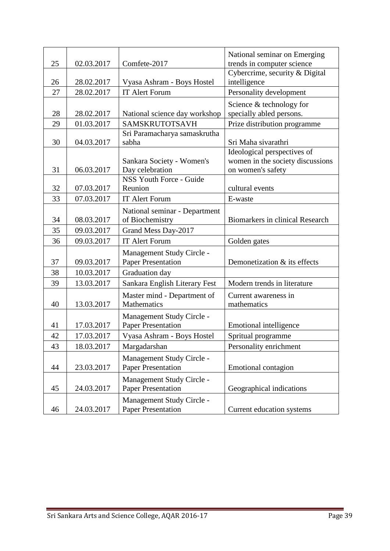| 25 | 02.03.2017 | Comfete-2017                                           | National seminar on Emerging<br>trends in computer science |
|----|------------|--------------------------------------------------------|------------------------------------------------------------|
|    |            |                                                        | Cybercrime, security & Digital                             |
| 26 | 28.02.2017 | Vyasa Ashram - Boys Hostel                             | intelligence                                               |
| 27 | 28.02.2017 | <b>IT Alert Forum</b>                                  | Personality development                                    |
|    |            |                                                        | Science & technology for                                   |
| 28 | 28.02.2017 | National science day workshop                          | specially abled persons.                                   |
| 29 | 01.03.2017 | SAMSKRUTOTSAVH                                         | Prize distribution programme                               |
|    |            | Sri Paramacharya samaskrutha                           |                                                            |
| 30 | 04.03.2017 | sabha                                                  | Sri Maha sivarathri                                        |
|    |            |                                                        | Ideological perspectives of                                |
| 31 | 06.03.2017 | Sankara Society - Women's<br>Day celebration           | women in the society discussions<br>on women's safety      |
|    |            | NSS Youth Force - Guide                                |                                                            |
| 32 | 07.03.2017 | Reunion                                                | cultural events                                            |
| 33 | 07.03.2017 | <b>IT Alert Forum</b>                                  | E-waste                                                    |
|    |            | National seminar - Department                          |                                                            |
| 34 | 08.03.2017 | of Biochemistry                                        | <b>Biomarkers in clinical Research</b>                     |
| 35 | 09.03.2017 | Grand Mess Day-2017                                    |                                                            |
| 36 | 09.03.2017 | IT Alert Forum                                         | Golden gates                                               |
|    |            | Management Study Circle -                              |                                                            |
| 37 | 09.03.2017 | <b>Paper Presentation</b>                              | Demonetization & its effects                               |
| 38 | 10.03.2017 | Graduation day                                         |                                                            |
| 39 | 13.03.2017 | Sankara English Literary Fest                          | Modern trends in literature                                |
|    |            | Master mind - Department of                            | Current awareness in                                       |
| 40 | 13.03.2017 | Mathematics                                            | mathematics                                                |
|    |            | Management Study Circle -                              |                                                            |
| 41 | 17.03.2017 | <b>Paper Presentation</b>                              | Emotional intelligence                                     |
| 42 | 17.03.2017 | Vyasa Ashram - Boys Hostel                             | Spritual programme                                         |
| 43 | 18.03.2017 | Margadarshan                                           | Personality enrichment                                     |
| 44 | 23.03.2017 | Management Study Circle -<br><b>Paper Presentation</b> | Emotional contagion                                        |
|    |            | Management Study Circle -                              |                                                            |
| 45 | 24.03.2017 | <b>Paper Presentation</b>                              | Geographical indications                                   |
| 46 | 24.03.2017 | Management Study Circle -<br><b>Paper Presentation</b> | Current education systems                                  |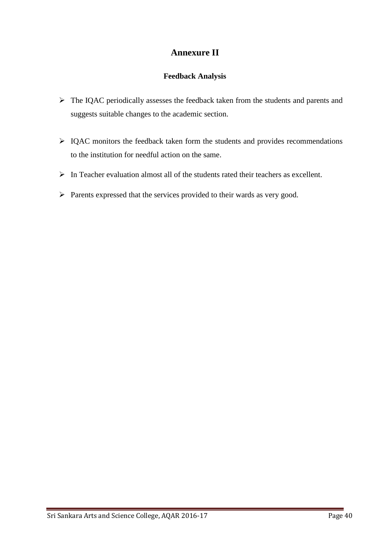### **Annexure II**

#### **Feedback Analysis**

- $\triangleright$  The IQAC periodically assesses the feedback taken from the students and parents and suggests suitable changes to the academic section.
- $\triangleright$  IQAC monitors the feedback taken form the students and provides recommendations to the institution for needful action on the same.
- $\triangleright$  In Teacher evaluation almost all of the students rated their teachers as excellent.
- $\triangleright$  Parents expressed that the services provided to their wards as very good.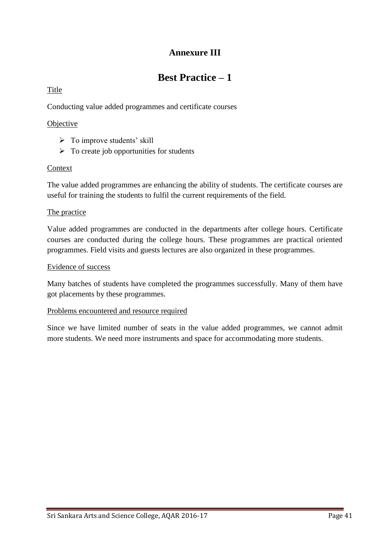# **Annexure III**

# **Best Practice – 1**

#### Title

Conducting value added programmes and certificate courses

#### **Objective**

- $\triangleright$  To improve students' skill
- $\triangleright$  To create job opportunities for students

#### Context

The value added programmes are enhancing the ability of students. The certificate courses are useful for training the students to fulfil the current requirements of the field.

#### The practice

Value added programmes are conducted in the departments after college hours. Certificate courses are conducted during the college hours. These programmes are practical oriented programmes. Field visits and guests lectures are also organized in these programmes.

#### Evidence of success

Many batches of students have completed the programmes successfully. Many of them have got placements by these programmes.

#### Problems encountered and resource required

Since we have limited number of seats in the value added programmes, we cannot admit more students. We need more instruments and space for accommodating more students.